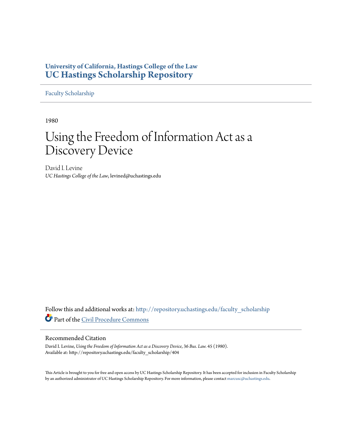# **University of California, Hastings College of the Law [UC Hastings Scholarship Repository](http://repository.uchastings.edu?utm_source=repository.uchastings.edu%2Ffaculty_scholarship%2F404&utm_medium=PDF&utm_campaign=PDFCoverPages)**

[Faculty Scholarship](http://repository.uchastings.edu/faculty_scholarship?utm_source=repository.uchastings.edu%2Ffaculty_scholarship%2F404&utm_medium=PDF&utm_campaign=PDFCoverPages)

1980

# Using the Freedom of Information Act as a Discovery Device

David I. Levine *UC Hastings College of the Law*, levined@uchastings.edu

Follow this and additional works at: [http://repository.uchastings.edu/faculty\\_scholarship](http://repository.uchastings.edu/faculty_scholarship?utm_source=repository.uchastings.edu%2Ffaculty_scholarship%2F404&utm_medium=PDF&utm_campaign=PDFCoverPages) Part of the [Civil Procedure Commons](http://network.bepress.com/hgg/discipline/584?utm_source=repository.uchastings.edu%2Ffaculty_scholarship%2F404&utm_medium=PDF&utm_campaign=PDFCoverPages)

# Recommended Citation

David I. Levine, *Using the Freedom of Information Act as a Discovery Device*, 36 *Bus. Law.* 45 (1980). Available at: http://repository.uchastings.edu/faculty\_scholarship/404

This Article is brought to you for free and open access by UC Hastings Scholarship Repository. It has been accepted for inclusion in Faculty Scholarship by an authorized administrator of UC Hastings Scholarship Repository. For more information, please contact [marcusc@uchastings.edu](mailto:marcusc@uchastings.edu).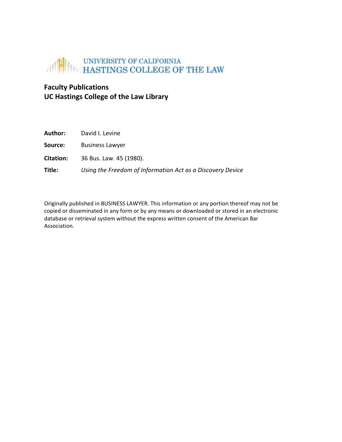

# **Faculty Publications UC Hastings College of the Law Library**

| Author:          | David I. Levine                                            |
|------------------|------------------------------------------------------------|
| Source:          | <b>Business Lawyer</b>                                     |
| <b>Citation:</b> | 36 Bus. Law. 45 (1980).                                    |
| Title:           | Using the Freedom of Information Act as a Discovery Device |

Originally published in BUSINESS LAWYER. This information or any portion thereof may not be copied or disseminated in any form or by any means or downloaded or stored in an electronic database or retrieval system without the express written consent of the American Bar Association.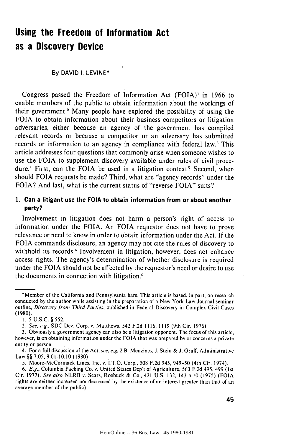# **Using the Freedom of Information Act as a Discovery Device**

## By DAVID I. LEVINE\*

Congress passed the Freedom of Information Act (FOIA)' in 1966 to enable members of the public to obtain information about the workings of their government.' Many people have explored the possibility of using the FOIA to obtain information about their business competitors or litigation adversaries, either because an agency of the government has compiled relevant records or because a competitor or an adversary has submitted records or information to an agency in compliance with federal **law.<sup>3</sup>**This article addresses four questions that commonly arise when someone wishes to use the FOIA to supplement discovery available under rules of civil procedure.4 First, can the FOIA be used in a litigation context? Second, when should FOIA requests be made? Third, what are "agency records" under the FOIA? And last, what is the current status of "reverse FOIA" suits?

# **1. Can** a litigant use the **FOIA** to obtain information from or about another **party?**

Involvement in litigation does not harm a person's right of access to information under the FOIA. An FOIA requestor does not have to prove relevance or need to know in order to obtain information under the Act. If the FOIA commands disclosure, an agency may not cite the rules of discovery to withhold its records.<sup>5</sup> Involvement in litigation, however, does not enhance access rights. The agency's determination of whether disclosure is required under the FOIA should not be affected by the requestor's need or desire to use the documents in connection with litigation.'

<sup>\*</sup>Member of the California and Pennsylvania bars. This article is based, in part, on research conducted by the author while assisting in the preparation of a New York Law Journal seminar outline, Discovery from Third Parties, published in Federal Discovery in Complex Civil Cases (1980).

I. 5 U.S.C. § 552.

<sup>2.</sup> See, e.g., SDC Dev. Corp. v. Matthews, 542 F.2d 1116, 1119 (9th Cir. 1976).

<sup>3.</sup> Obviously a government agency can also be a litigation opponent. The focus of this article, however, is on obtaining information under the FOIA that was prepared by or concerns a private entity or person.

<sup>4.</sup> For a full discussion of the Act, see, e.g, 2 B. Menzines, J. Stein & J. Gruff, Administrative Law §§ 7.05, 9.01-10.10 (1980).

<sup>5.</sup> Moore-McCormack Lines, Inc. v. I.T.O. Corp., 508 F.2d 945, 949-50 (4th Cir. 1974).

<sup>6.</sup> E.g., Columbia Packing Co. v. United States Dep't of Agriculture, 563 F.2d 495, 499 (1st Cir. 1977). See also NLRB v. Sears, Roebuck & Co., 421 U.S. 132, 143 n.10 (1975) (FOIA rights are neither increased nor decreased by the existence of an interest greater than that of an average member of the public).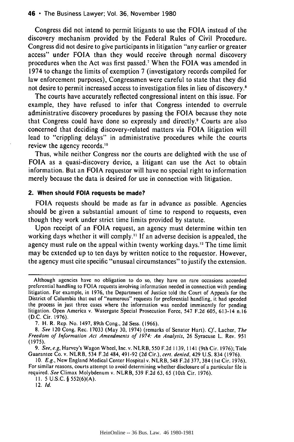#### 46 **•** The Business Lawyer; Vol. **36,** November 1980

Congress did not intend to permit litigants to use the FOIA instead of the discovery mechanism provided by the Federal Rules of Civil Procedure. Congress did not desire to give participants in litigation "any earlier or greater access" under FOIA than they would receive through normal discovery procedures when the Act was first passed.7 When the FOIA was amended in 1974 to change the limits of exemption 7 (investigatory records compiled for law enforcement purposes), Congressmen were careful to state that they did not desire to permit increased access to investigation files in lieu of discovery.<sup>8</sup>

The courts have accurately reflected congressional intent on this issue. For example, they have refused to infer that Congress intended to overrule administrative discovery procedures by passing the FOIA because they note that Congress could have done so expressly and directly.' Courts are also concerned that deciding discovery-related matters via FOIA litigation will lead to "crippling delays" in administrative procedures while the courts review the agency records."0

Thus, while neither Congress nor the courts are delighted with the use of FOIA as a quasi-discovery device, a litigant can use the Act to obtain information. But an FOIA requestor will have no special right to information merely because the data is desired for use in connection with litigation.

# **2. When should FOIA requests be made?**

FOIA requests should be made as far in advance as possible. Agencies should be given a substantial amount of time to respond to requests, even though they work under strict time limits provided by statute.

Upon receipt of an FOIA request, an agency must determine within ten working days whether it will comply." If an adverse decision is appealed, the agency must rule on the appeal within twenty working days.<sup>12</sup> The time limit may be extended up to ten days by written notice to the requestor. However, the agency must cite specific "unusual circumstances" to justify the extension.

10. **E.g.,** New England Medical Center Hospital v. NLRB, 548 F.2d 377, 384 (1st Cir. 1976). For similar reasons, courts attempt to avoid determining whether disclosure of a particular file is required. See Climax Molybdenum v. NLRB, 539 F.2d 63, 65 (10th Cir. 1976).

II. **5** U.S.C. § 552(6)(A).

12. *Id.*

Although agencies have no obligation to do so, they have on rare occasions accorded preferential handling to FOIA requests involving information needed in connection with pending litigation. For example, in 1976, the Department of Justice told the Court of Appeals for the District of Columbia that out of "numerous" requests for preferential handling, it had speeded the process in just three cases where the information was needed imminently for pending litigation. Open America v. Watergate Special Prosecution Force, 547 F.2d 605, 613-14 n.16 (D.C. Cir. 1976).

<sup>7.</sup> H. R. Rep. No. 1497, 89th Cong., 2d Sess. (1966).

<sup>8.</sup> See 120 Cong. Rec. 17033 (May 30, 1974) (remarks of Senator Hart). **Cf.,** Lacher, The Freedom of Information Act Amendments of 1974: An Analysis, 26 Syracuse L. Rev. 951 (1975).

<sup>9.</sup> See, e.g, Harvey's Wagon Wheel, Inc. v. NLRB, 550 F.2d 1139, 1141 (9th Cir. 1976); Title Guarantee Co. v. NLRB, 534 F.2d 484, 491-92 (2d Cir.), cert. denied, 429 U.S. 834 (1976).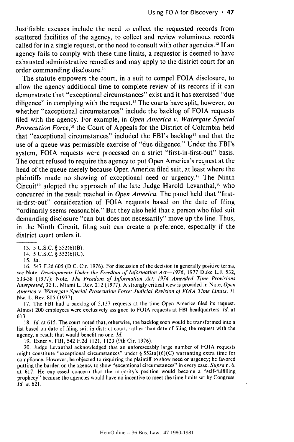Justifiable excuses include the need to collect the requested records from scattered facilities of the agency, to collect and review voluminous records called for in a single request, or the need to consult with other agencies.<sup>13</sup> If an agency fails to comply with these time limits, a requestor is deemed to have exhausted administrative remedies and may apply to the district court for an order commanding disclosure.14

The statute empowers the court, in a suit to compel FOIA disclosure, to allow the agency additional time to complete review of its records if it can demonstrate that "exceptional circumstances" exist and it has exercised "due diligence" in complying with the request.<sup>15</sup> The courts have split, however, on whether "exceptional circumstances" include the backlog of FOIA requests filed with the agency. For example, in *Open America v. Watergate Special Prosecution Force,6* the Court of Appeals for the District of Columbia held that "exceptional circumstances" included the FBI's backlog<sup>17</sup> and that the use of a queue was permissible exercise of "due diligence." Under the FBI's system, FOIA requests were processed on a strict "first-in-first-out" basis. The court refused to require the agency to put Open America's request at the head of the queue merely because Open America filed suit, at least where the plaintiffs made no showing of exceptional need or urgency.'8 The Ninth Circuit<sup>19</sup> adopted the approach of the late Judge Harold Levanthal,<sup>20</sup> who concurred in the result reached in *Open America.* The panel held that "firstin-first-out" consideration of FOIA requests based on the date of filing "ordinarily seems reasonable." But they also held that a person who filed suit demanding disclosure "can but does not necessarily" move up the line. Thus, in the Ninth Circuit, filing suit can create a preference, especially if the district court orders it.

16. 547 F.2d 605 (D.C. Cir. 1976). For discussion of the decision in generally positive terms, *see* Note, *Developments Under the Freedom of Information Act-1976,* 1977 Duke **L.J.** 532, 533-38 (1977); Note, *The Freedom of Information Act: 1974 Amended Time Provisions Interpreted,* 32 U. Miami L. Rev. 212 (1977). A strongly critical view is provided in Note, *Open America v. Watergate Special Prosecution Force: Judicial Revision of FOIA Time Limits,* 71 Nw. L. Rev. 805 (1977).

17. The FBI had a backlog of 5,137 requests at the time Open America filed its request. Almost 200 employees were exclusively assigned to FOIA requests at FBI headquarters. *Id.* at 613.

18. *Id.* at 615. The court noted that, otherwise, the backlog soon would be transformed into a list based on date of filing suit in district court, rather than date of filing the request with the agency, a result that would benefit no one. *Id.*

19. Exner v. FBI, 542 F.2d 1121, 1123 (9th Cir. 1976).

20. Judge Levanthal acknowledged that an unforeseeably large number of FOIA requests might constitute "exceptional circumstances" under § 552(a)(6)(C) warranting extra time for compliance. However, he objected to requiring the plaintiff to show need or urgency; he favored putting the burden on the agency to show "exceptional circumstances" in every case. *Supra* n. 6, at 617. He expressed concern that the majority's position would become a "self-fulfilling prophecy" because the agencies would have no incentive to meet the time limits set by Congress. *Id.* at 621.

<sup>13. 5</sup> U.S.C. § 552(6)(B).

<sup>14. 5</sup> U.S.C. § 552(6)(C).

<sup>15.</sup> **Id.**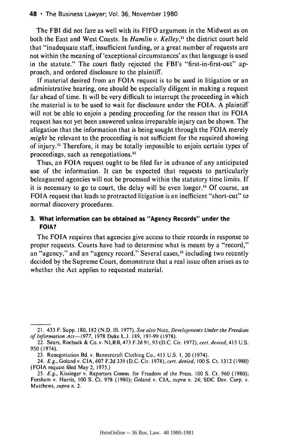#### 48 **•** The Business Lawyer; Vol. 36, November 1980

The FBI did not fare as well with its FIFO argument in the Midwest as on both the East and West Coasts. In *Hamlin v. Kelley,"1* the district court held that "inadequate staff, insufficient funding, or a great number of requests are not within the meaning of 'exceptional circumstances' as that language is used in the statute." The court flatly rejected the FBI's "first-in-first-out" approach, and ordered disclosure to the plaintiff.

If material desired from an FOIA request is to be used in litigation or an administrative hearing, one should be especially diligent in making a request far ahead of time. It will be very difficult to interrupt the proceeding in which the material is to be used to wait for disclosure under the FOIA. A plaintiff will not be able to enjoin a pending proceeding for the reason that its **FOIA** request has not yet been answered unless irreparable injury can be shown. The allegation that the information that is being sought through the FOIA merely *might* be relevant to the proceeding is not sufficient for the required showing of injury." Therefore, it may be totally impossible to enjoin certain types of proceedings, such as renegotiations."

Thus, an **FOIA** request ought to be filed far in advance of any anticipated use of the information. It can be expected that requests to particularly beleaguered agencies will not be processed within the statutory time limits. If it is necessary to go to court, the delay will be even longer.2' Of course, an FOIA request that leads to protracted litigation is an inefficient "short-cut" to normal discovery procedures.

# **3. What information can be obtained as "Agency Records" under the FOIA?**

The FOIA requires that agencies give access to their records in response to proper requests. Courts have had to determine what is meant by a "record," an "agency," and an "agency record." Several cases,<sup>25</sup> including two recently decided by the Supreme Court, demonstrate that a real issue often arises as to whether the Act applies to requested material.

<sup>21. 433</sup> F. Supp. 180, 182 (N.D. Ill. 1977). See also Note, Developments Under the Freedom of Information Act-1977, 1978 Duke L.J. 189, 197-99 (1978).

<sup>22.</sup> Sears, Roebuck & Co. v. NLRB, 473 F.2d 91,93 (D.C. Cir. 1972), cert. denied, 415 U.S. 950 (1974).

<sup>23.</sup> Renegotiation Bd. v. Bannercraft Clothing Co., 415 U.S. I, 20 (1974).

<sup>24.</sup> E.g., Goland v. CIA, 607 F.2d 339 (D.C. Cir. 1978), cert. denied, *100* S. Ct. 1312 (1980) (FOIA request filed May 2, 1975.)

<sup>25.</sup> E.g., Kissinger v. Reporters Comm. for Freedom of the Press, 100 S. Ct. 960 (1980); Forsham v. Harris, 100 S. Ct. 978 (1980); Goland v. CIA, supra n. 24; SDC Dev. Corp. v. Matthews, supra n. 2.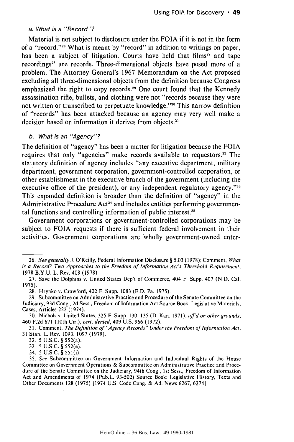#### a. What is a *"Record"?*

Material is not subject to disclosure under the FOIA if it is not in the form of a "record."<sup>26</sup> What is meant by "record" in addition to writings on paper, has been a subject of litigation. Courts have held that films<sup>27</sup> and tape recordings<sup>28</sup> are records. Three-dimensional objects have posed more of a problem. The Attorney General's 1967 Memorandum on the Act proposed excluding all three-dimensional objects from the definition because Congress emphasized the right to copy records.<sup>29</sup> One court found that the Kennedy assassination rifle, bullets, and clothing were not "records because they were not written or transcribed to perpetuate knowledge."<sup>30</sup> This narrow definition of "records" has been attacked because an agency may very well make a decision based on information it derives from objects.<sup>31</sup>

## b. What is an "Agency"?

The definition of "agency" has been a matter for litigation because the FOIA requires that only "agencies" make records available to requestors.<sup>32</sup> The statutory definition of agency includes "any executive department, military department, government corporation, government-controlled corporation, or other establishment in the executive branch of the government (including the executive office of the president), or any independent regulatory agency."<sup>33</sup> This expanded definition is broader than the definition of "agency" in the Administrative Procedure Act<sup>34</sup> and includes entities performing governmental functions and controlling information of public interest.<sup>35</sup>

Government corporations or government-controlled corporations may be subject to FOIA requests if there is sufficient federal involvement in their activities. Government corporations are wholly government-owned enter-

<sup>26.</sup> *See* generally J. O'Reilly, Federal Information Disclosure § 5.03 (1978); Comment, *What* is a Record? Two Approaches to the Freedom of Information Act's Threshold Requirement, 1978 B.Y.U. L. Rev. 408 (1978).

<sup>27.</sup> Save the Dolphins v. United States Dep't of Commerce, 404 F. Supp. 407 (N.D. Cal. 1975).

<sup>28.</sup> Hrynko v. Crawford, 402 F. Supp. 1083 (E.D. Pa. 1975).

<sup>29.</sup> Subcommittee on Administrative Practice and Procedure of the Senate Committee on the Judiciary, 93d Cong., 2d Sess., Freedom of Information Act Source Book: Legislative Materials, Cases, Articles 222 (1974).

<sup>30.</sup> Nichols v. United States, 325 F. Supp. 130, 135 (D. Kan. 197 **1),** affd on other grounds, 460 F.2d 671 (10th Cir.), cert. denied, 409 U.S. 966 (1972).

<sup>31.</sup> Comment, The Definition of "Agency Records" Under the Freedom of Information Act, **31** Stan. L. Rev. 1093, 1097 (1979).

<sup>32. 5</sup> U.S.C. § 552(a).

<sup>33. 5</sup> U.S.C. § 552(e).

<sup>34. 5</sup> U.S.C. § 55 1(i).

<sup>35.</sup> See Subcommittee on Government Information and Individual Rights of the House Committee on Government Operations & Subcommittee on Administrative Practice and Procedure of the Senate Committee on the Judiciary, 94th Cong., 1st Sess., Freedom of Information Act and Amendments of 1974 (Pub.L. 93-502) Source Book: Legislative History, Texts and Other Documents 128 (1975) [1974 U.S. Code Cong. & Ad. News 6267, 6274].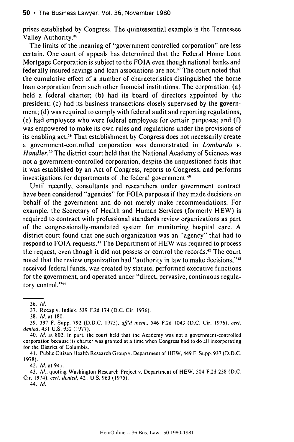prises established by Congress. The quintessential example is the Tennessee Valley Authority. <sup>36</sup>

The limits of the meaning of "government controlled corporation" are less certain. One court of appeals has determined that the Federal Home Loan Mortgage Corporation is subject to the FOIA even though national banks and federally insured savings and loan associations are not.<sup>37</sup> The court noted that the cumulative effect of a number of characteristics distinguished the home loan corporation from such other financial institutions. The corporation: (a) held a federal charter; (b) had its board of directors appointed by the president; (c) had its business transactions closely supervised by the government; (d) was required to comply with federal audit and reporting regulations; (e) had employees who were federal employees for certain purposes; and (f) was empowered to make its own rules and regulations under the provisions of its enabling act.<sup>38</sup> That establishment by Congress does not necessarily create a government-controlled corporation was demonstrated in Lombardo *v. Handler.*<sup>39</sup> The district court held that the National Academy of Sciences was not a government-controlled corporation, despite the unquestioned facts that it was established by an Act of Congress, reports to Congress, and performs investigations for departments of the federal government.<sup>40</sup>

Until recently, consultants and researchers under government contract have been considered "agencies" for **FOIA** purposes if they made decisions on behalf of the government and do not merely make recommendations. For example, the Secretary of Health and Human Services (formerly HEW) is required to contract with professional standards review organizations as part of the congressionally-mandated system for monitoring hospital care. A district court found that one such organization was an "agency" that had to respond to FOIA requests." The Department of HEW was required to process the request, even though it did not possess or control the records.<sup>42</sup> The court noted that the review organization had "authority in law to make decisions,"<sup>43</sup> received federal funds, was created by statute, performed executive functions for the government, and operated under "direct, pervasive, continuous regulatory control."<sup>44</sup>

42. **Id.** at 941.

43. **Id.,** quoting Washington Research Project v. Department of HEW, 504 F.2d 238 (D.C. Cir. 1974), cert. denied, 421 U.S. 963 (1975).

44. **Id.**

<sup>36.</sup> **Id.**

**<sup>37.</sup>** Rocap v. Indiek, **539 F.2d** 174 **(D.C.** Cir. **1976).**

**<sup>38.</sup> Id.** at **180.**

**<sup>39. 397</sup>** F. Supp. **792 (D.D.C. 1975), affd** *mern.,* 546 **F.2d** 1043 **(D.C.** Cir. **1976), cert.** denied, 431 **U.S.** 932 **(1977).**

<sup>40.</sup> **Id.** at 802. In part, the court held that the Academy was not a government-controlled corporation because its charter was granted at a time when Congress had to do all incorporating for the District of Columbia.

<sup>41.</sup> Public Citizen Health Research Group v. Department of HEW, 449 F. Supp. 937 (D.D.C. 1978).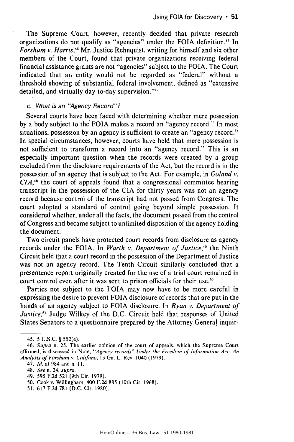The Supreme Court, however, recently decided that private research organizations do not qualify as "agencies" under the FOIA definition.<sup>45</sup> In *Forsham v. Harris,46* Mr. Justice Rehnquist, writing for himself and six other members of the Court, found that private organizations receiving federal financial assistance grants are not "agencies" subject to the FOIA. The Court indicated that an entity would not be regarded as "federal" without a threshold showing of substantial federal involvement, defined as "extensive detailed, and virtually day-to-day supervision."<sup>47</sup>

#### c. What is an "Agency Record"?

Several courts have been faced with determining whether mere possession by a body subject to the FOIA makes a record an "agency record." In most situations, possession by an agency is sufficient to create an "agency record." In special circumstances, however, courts have held that mere possession is not sufficient to transform a record into an "agency record." This is an especially important question when the records were created by a group excluded from the disclosure requirements of the Act, but the record is in the possession of an agency that is subject to the Act. For example, in *Goland v. CIA, <sup>8</sup>*the court of appeals found that a congressional committee hearing transcript in the possession of the CIA for thirty years was not an agency record because control of the transcript had not passed from Congress. The court adopted a standard of control going beyond simple possession. It considered whether, under all the facts, the document passed from the control of Congress and became subject to unlimited disposition of the agency holding the document.

Two circuit panels have protected court records from disclosure as agency records under the FOIA. In *Warth v. Department of Justice*,<sup>49</sup> the Ninth Circuit held that a court record in the possession of the Department of Justice was not an agency record. The Tenth Circuit similarly concluded that a presentence report originally created for the use of a trial court remained in court control even after it was sent to prison officials for their use.<sup>50</sup>

Parties not subject to the FOIA may now have to be more careful in expressing the desire to prevent FOIA disclosure of records that are put in the hands of an agency subject to FOIA disclosure. In *Ryan v. Department of Justice*,<sup>51</sup> Judge Wilkey of the D.C. Circuit held that responses of United States Senators to a questionnaire prepared by the Attorney General inquir-

- 48. See n. 24, supra.
- 49. **595 F.2d 521** (9th Cir. **1979).**
- **50.** Cook v. Willingham, 400 **F.2d 885** (10th Cir. **1968).**
- **51. 617 F.2d 781 (D.C.** Cir. **1980).**

<sup>45. 5</sup> U.S.C. § 552(e).

<sup>46.</sup> Supra n. 25. The earlier opinion of the court of appeals, which the Supreme Court affirmed, is discussed in Note, "Agency records" Under the Freedom of Information Act: An Analysis of *Forsham v.* Califano, **13** Ga. L. Rev. 1040 **(1979).**

<sup>47.</sup> *Id.* at 984 and n. **11.**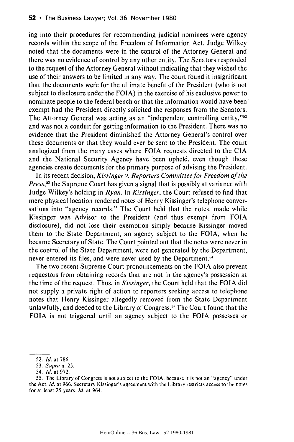ing into their procedures for recommending judicial nominees were agency records within the scope of the Freedom of Information Act. Judge Wilkey noted that the documents were in the control of the Attorney General and there was no evidence of control by any other entity. The Senators responded to the request of the Attorney General without indicating that they wished the use of their answers to be limited in any way. The court found it insignificant that the documents were for the ultimate benefit of the President (who is not subject to disclosure under the FOIA) in the exercise of his exclusive power to nominate people to the federal bench or that the information would have been exempt had the President directly solicited the responses from the Senators. The Attorney General was acting as an "independent controlling entity,"<sup>52</sup> and was not a conduit for getting information to the President. There was no evidence that the President diminished the Attorney General's control over these documents or that they would ever be sent to the President. The court analogized from the many cases where FOIA requests directed to the **CIA** and the National Security Agency have been upheld, even though those agencies create documents for the primary purpose of advising the President.

In its recent decision, *Kissinger v. Reporters Committee for Freedom of the* Press,<sup>53</sup> the Supreme Court has given a signal that is possibly at variance with Judge Wilkey's holding in *Ryan.* In *Kissinger,* the Court refused to find that mere physical location rendered notes of Henry Kissinger's telephone conversations into "agency records." The Court held that the notes, made while Kissinger was Advisor to the President (and thus exempt from FOIA disclosure), did not lose their exemption simply because Kissinger moved them to the State Department, an agency subject to the FOIA, when he became Secretary of State. The Court pointed out that the notes were never in the control of the State Department, were not generated by the Department, never entered its files, and were never used by the Department.<sup>54</sup>

The two recent Supreme Court pronouncements on the FOIA also prevent requestors from obtaining records that are not in the agency's possession at the time of the request. Thus, in *Kissinger,* the Court held that the FOIA did not supply a private right of action to reporters seeking access to telephone notes that Henry Kissinger allegedly removed from the State Department unlawfully, and deeded to the Library of Congress.<sup>55</sup> The Court found that the FOIA is not triggered until an agency subject to the FOIA possesses or

<sup>52.</sup> **Id.** at 786.

<sup>53.</sup> Supra n. 25.

<sup>54.</sup> **Id.** at 972.

<sup>55.</sup> The Library of Congress is not subject to the FOIA, because it is not an "agency" under the Act. **Id.** at 966. Secretary Kissinger's agreement with the Library restricts access to the notes for at least 25 years. **Id.** at 964.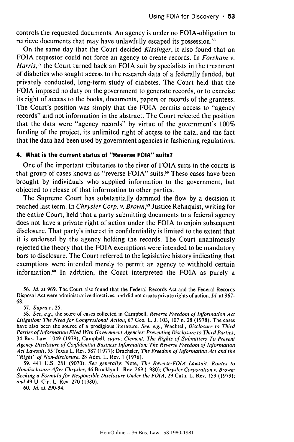controls the requested documents. An agency is under no FOIA-obligation to retrieve documents that may have unlawfully escaped its possession.<sup>56</sup>

On the same day that the Court decided *Kissinger,* it also found that an **FOIA** requestor could not force an agency to create records. In *Forsham v. Harris,57* the Court turned back an **FOIA** suit **by** specialists in the treatment of diabetics who sought access to the research data of a federally funded, but privately conducted, long-term study of diabetes. The Court held that the FOIA imposed no duty on the government to generate records, or to exercise its right of access to the books, documents, papers or records of the grantees. The Court's position was simply that the FOIA permits access to "agency records" and not information in the abstract. The Court rejected the position that the data were "agency records" by virtue of the government's 100% funding of the project, its unlimited right of access to the data, and the fact that the data had been used **by** government agencies in fashioning regulations.

### **4. What is the current status of "Reverse FOIA" suits?**

One of the important tributaries to the river of **FOIA** suits in the courts is that group of cases known as "reverse FOIA" suits.<sup>58</sup> These cases have been brought **by** individuals who supplied information to the government, but objected to release of that information to other parties.

The Supreme Court has substantially dammed the flow **by** a decision it reached last term. In *Chrysler Corp. v. Brown,59* Justice Rehnquist, writing for the entire Court, held that a party submitting documents to a federal agency does not have a private right of action under the **FOIA** to enjoin subsequent disclosure. That party's interest in confidentiality is limited to the extent that it is endorsed **by** the agency holding the records. The Court unanimously rejected the theory that the **FOIA** exemptions were intended to be mandatory bars to disclosure. The Court referred to the legislative history indicating that exemptions were intended merely to permit an agency to withhold certain information.<sup>60</sup> In addition, the Court interpreted the FOIA as purely a

**60.** *Id.* at 290-94.

<sup>56.</sup> *Id.* at 969. The Court also found that the Federal Records Act and the Federal Records Disposal Act were administrative directives, and did not create private rights of action. *Id.* at 967- 68.

<sup>57.</sup> *Supra* n. 25.

<sup>58.</sup> *See, e.g.,* the score of cases collected in Campbell, *Reverse Freedom* of *Information Act Litigation: The Need for Congressional Action,* 67 Geo. L. **J.** 103, 107 n. 28 (1978). The cases have also been the source of a prodigious literature. *See, e.g.,* Wachtell, *Disclosure to Third Parties of Information Filed With Government Agencies: Preventing Disclosure to Third Parties,* 34 Bus. Law. 1049 (1979); Campbell, *supra; Clement, The Rights of Submitters To Prevent Agency Disclosure of Confidential Business Information: The Reverse Freedom of Information Act Lawsuit,* 55 Texas L. Rev. 587 (1977); Drachsler, *The Freedom of Information Act and the "'Right" of Non-disclosure,* 28 Adm. L. Rev. 1 (1976).

<sup>59. 441</sup> U.S. 281 (9070). *See generally:* Note, *The Reverse-FOIA Lawsuit: Routes to Nondisclosure After Chrysler,* 46 Brooklyn L. Rev. 269 (1980); *Chrysler Corporation* v. *Brown: Seeking a Formula for Responsible Disclosure Under the FOIA,* 29 Cath. L. Rev. 159 (1979); *and 49* U. Cin. L. Rev. 270 (1980).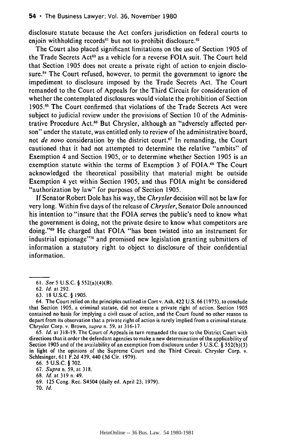disclosure statute because the Act confers jurisdiction on federal courts to enjoin withholding records $61$  but not to prohibit disclosure.  $62$ 

The Court also placed significant limitations on the use of Section 1905 of the Trade Secrets Act<sup>63</sup> as a vehicle for a reverse FOIA suit. The Court held that Section 1905 does not create a private right of action to enjoin disclosure.<sup>64</sup> The Court refused, however, to permit the government to ignore the impediment to disclosure imposed by the Trade Secrets Act. The Court remanded to the Court of Appeals for the Third Circuit for consideration of whether the contemplated disclosures would violate the prohibition of Section 1905.65 The Court confirmed that violations of the Trade Secrets Act were subject to judicial review under the provisions of Section 10 of the Administrative Procedure Act.<sup>66</sup> But Chrysler, although an "adversely affected person" under the statute, was entitled only to review of the administrative board, not *de novo* consideration by the district court.<sup>67</sup> In remanding, the Court cautioned that it had not attempted to determine the relative "ambits" of Exemption 4 and Section 1905, or to determine whether Section 1905 is an exemption statute within the terms of Exemption 3 of FOIA.<sup>68</sup> The Court acknowledged the theoretical possibility that material might be outside Exemption 4 yet within Section 1905, and thus FOIA might be considered "authorization by law" for purposes of Section 1905.

If Senator Robert Dole has his way, the *Chrysler* decision will not be law for very long. Within five days of the release of *Chrysler,* Senator Dole announced his intention to "insure that the FOIA serves the public's need to know what the government is doing, not the private desire to know what competitors are doing. '69 He charged that FOIA "has been twisted into an instrument for industrial espionage"<sup>70</sup> and promised new legislation granting submitters of information a statutory right to object to disclosure of their confidential information.

65. **Id.** at 318-19. The Court of Appeals in turn remanded the case to the District Court with directions that it order the defendant agencies to make a new determination of the applicability of Section 1905 and of the availability of an exemption from disclosure under 5 U.S.C. § 552(b)(3) in light of the opinions of the Supreme Court and the Third Circuit. Chrysler Corp. v. Schlesinger, 611 F.2d 439, 440 (3d Cir. 1979).

67. Supra n. 59, at 318.

- 69. 125 Cong. Rec. S4504 (daily ed. April 23, 1979).
- 70. **Id.**

<sup>61.</sup> See 5 U.S.C. § 552(a)(4)(B).

<sup>62.</sup> **Id.** at 292.

<sup>63. 18</sup> U.S.C. § 1905.

<sup>64.</sup> The Court relied on the principles outlined in Cort v. Ash, 422 U.S. 66 (1975), to conclude that Section 1905, a criminal statute, did not create a private right of action. Section 1905 contained no basis for implying a civil cause of action, and the Court found no other reason to depart from its observation that a private right of action is rarely implied from a criminal statute. Chrysler Corp. v. Brown, supra n. 59, at 316-17.

<sup>66. 5</sup> U.S.C. § 702.

<sup>68.</sup> **Id.** at 319 n. 49.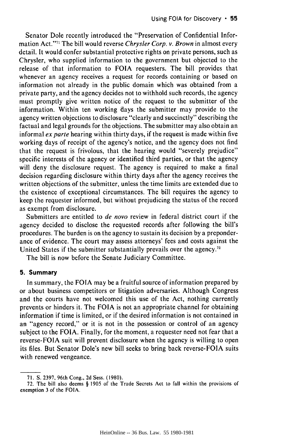Senator Dole recently introduced the "Preservation of Confidential Information Act."71 The bill would reverse *Chrysler Corp. v. Brown* in almost every detail. It would confer substantial protective rights on private persons, such as Chrysler, who supplied information to the government but objected to the release of that information to **FOIA** requesters. The bill provides that whenever an agency receives a request for records containing or based on information not already in the public domain which was obtained from a private party, and the agency decides not to withhold such records, the agency must promptly give written notice of the request to the submitter of the information. Within ten working days the submitter may provide to the agency written objections to disclosure "clearly and succinctly" describing the factual and legal grounds for the objections. The submitter may also obtain an informal *ex parte* hearing within thirty days, if the request is made within five working days of receipt of the agency's notice, and the agency does not find that the request is frivolous, that the hearing would "severely prejudice" specific interests of the agency or identified third parties, or that the agency will deny the disclosure request. The agency is required to make a final decision regarding disclosure within thirty days after the agency receives the written objections of the submitter, unless the time limits are extended due to the existence of exceptional circumstances. The bill requires the agency to keep the requester informed, but without prejudicing the status of the record as exempt from disclosure.

Submitters are entitled to *de novo* review in federal district court if the agency decided to disclose the requested records after following the bill's procedures. The burden is on the agency to sustain its decision by a preponderance of evidence. The court may assess attorneys' fees and costs against the United States if the submitter substantially prevails over the agency.<sup> $72$ </sup>

The bill is now before the Senate Judiciary Committee.

### **5. Summary**

In summary, the FOIA may be a fruitful source of information prepared by or about business competitors or litigation adversaries. Although Congress and the courts have not welcomed this use of the Act, nothing currently prevents or hinders it. The FOIA is not an appropriate channel for obtaining information if time is limited, or if the desired information is not contained in an "agency record," or it is not in the possession or control of an agency subject to the FOIA. Finally, for the moment, a requester need not fear that a reverse-FOIA suit will prevent disclosure when the agency is willing to open its files. But Senator Dole's new bill seeks to bring back reverse-FOIA suits with renewed vengeance.

<sup>71.</sup> S. 2397, 96th Cong., 2d Sess. (1980).

<sup>72.</sup> The bill also deems **§** 1905 of the Trade Secrets Act to fall within the provisions of exemption 3 of the FOIA.